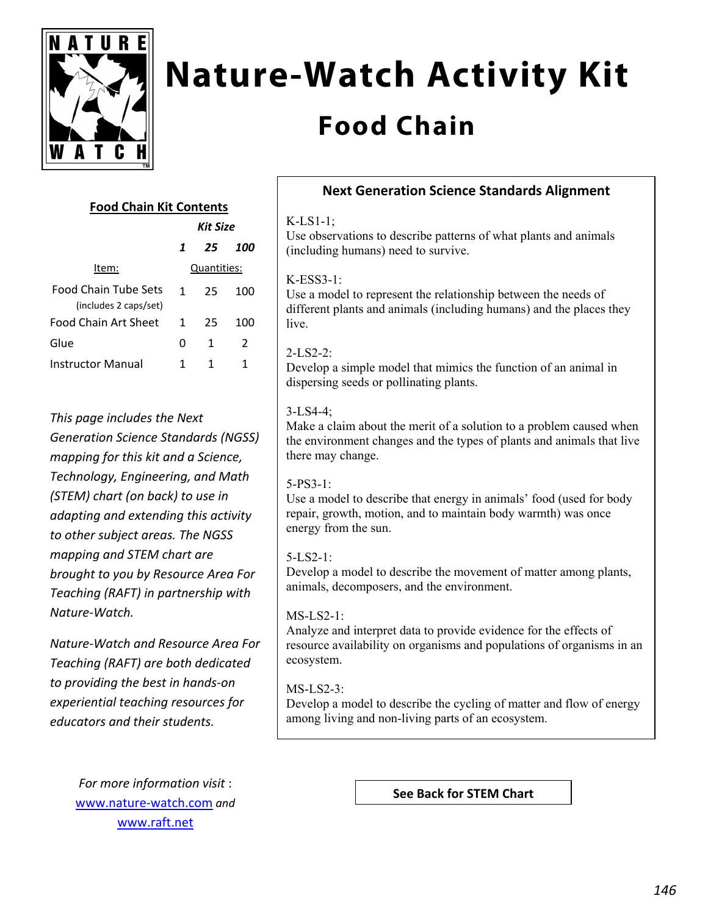

# **Nature-Watch Activity Kit**

# **Food Chain**

### **Food Chain Kit Contents**

| <b>Kit Size</b> |    |     |
|-----------------|----|-----|
| 1               | 25 | 100 |
| Quantities:     |    |     |
| 1               | 25 | 100 |
|                 |    |     |
| 1               | 25 | 100 |
| O               | 1  | 2   |
|                 | 1  | 1   |
|                 |    |     |

*This page includes the Next Generation Science Standards (NGSS) mapping for this kit and a Science, Technology, Engineering, and Math (STEM) chart (on back) to use in adapting and extending this activity to other subject areas. The NGSS mapping and STEM chart are brought to you by Resource Area For Teaching (RAFT) in partnership with Nature‐Watch.* 

*Nature‐Watch and Resource Area For Teaching (RAFT) are both dedicated to providing the best in hands‐on experiential teaching resources for educators and their students.*

> *For more information visit* : www.nature‐watch.com *and* www.raft.net

## **Next Generation Science Standards Alignment**

#### K-LS1-1;

Use observations to describe patterns of what plants and animals (including humans) need to survive.

#### K-ESS3-1:

Use a model to represent the relationship between the needs of different plants and animals (including humans) and the places they live.

#### $2-I.S2-2$

Develop a simple model that mimics the function of an animal in dispersing seeds or pollinating plants.

#### 3-LS4-4;

Make a claim about the merit of a solution to a problem caused when the environment changes and the types of plants and animals that live there may change.

#### 5-PS3-1:

Use a model to describe that energy in animals' food (used for body repair, growth, motion, and to maintain body warmth) was once energy from the sun.

#### 5-LS2-1:

Develop a model to describe the movement of matter among plants, animals, decomposers, and the environment.

#### MS-LS2-1:

Analyze and interpret data to provide evidence for the effects of resource availability on organisms and populations of organisms in an ecosystem.

#### $MS-LS2-3$

Develop a model to describe the cycling of matter and flow of energy among living and non-living parts of an ecosystem.

**See Back for STEM Chart**